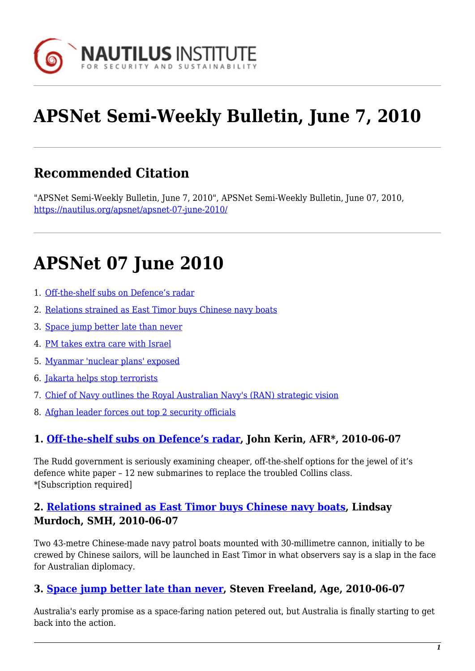

# **APSNet Semi-Weekly Bulletin, June 7, 2010**

# **Recommended Citation**

"APSNet Semi-Weekly Bulletin, June 7, 2010", APSNet Semi-Weekly Bulletin, June 07, 2010, <https://nautilus.org/apsnet/apsnet-07-june-2010/>

# **APSNet 07 June 2010**

- 1. [Off-the-shelf subs on Defence's radar](#page-0-0)
- 2. [Relations strained as East Timor buys Chinese navy boats](#page-0-1)
- 3. [Space jump better late than never](#page-0-2)
- 4. [PM takes extra care with Israel](#page-1-0)
- 5. [Myanmar 'nuclear plans' exposed](#page-1-1)
- 6. [Jakarta helps stop terrorists](#page-1-2)
- 7. [Chief of Navy outlines the Royal Australian Navy's \(RAN\) strategic vision](#page-1-3)
- 8. [Afghan leader forces out top 2 security officials](#page-1-4)

### <span id="page-0-0"></span>**1. [Off-the-shelf subs on Defence's radar](http://www.afr.com/p/national/off_the_shelf_subs_on_defence_radar_ORsYRUMxvdROxw7zTZix6I?hl), John Kerin, AFR\*, 2010-06-07**

The Rudd government is seriously examining cheaper, off-the-shelf options for the jewel of it's defence white paper – 12 new submarines to replace the troubled Collins class. \*[Subscription required]

#### <span id="page-0-1"></span>**2. [Relations strained as East Timor buys Chinese navy boats](http://www.smh.com.au/world/relations-strained-as-east-timor-buys-chinese-navy-boats-20100606-xn5y.html), Lindsay Murdoch, SMH, 2010-06-07**

Two 43-metre Chinese-made navy patrol boats mounted with 30-millimetre cannon, initially to be crewed by Chinese sailors, will be launched in East Timor in what observers say is a slap in the face for Australian diplomacy.

### <span id="page-0-2"></span>**3. [Space jump better late than never](http://www.theage.com.au/opinion/politics/space-jump-better-late-than-never-20100606-xn3t.html), Steven Freeland, Age, 2010-06-07**

Australia's early promise as a space-faring nation petered out, but Australia is finally starting to get back into the action.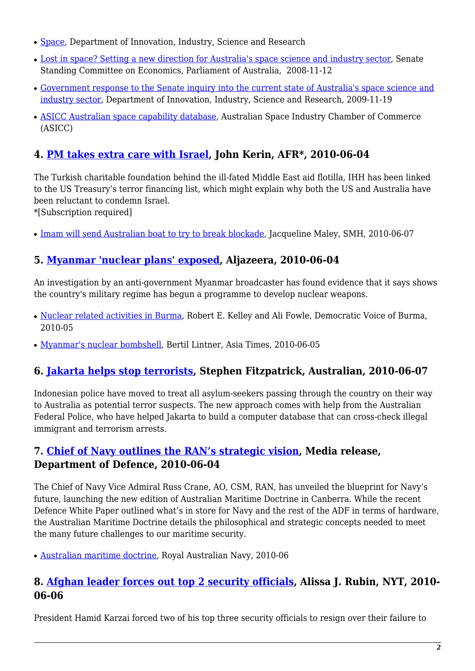- [Space](http://www.innovation.gov.au/Industry/Space/Pages/default.aspx), Department of Innovation, Industry, Science and Research
- [Lost in space? Setting a new direction for Australia's space science and industry sector,](http://www.aph.gov.au/senate/Committee/economics_ctte/space_08/report/index.htm) Senate Standing Committee on Economics, Parliament of Australia, 2008-11-12
- [Government response to the Senate inquiry into the current state of Australia's space science and](http://www.innovation.gov.au/Industry/Space/Pages/SpaceResponse.aspx) [industry sector,](http://www.innovation.gov.au/Industry/Space/Pages/SpaceResponse.aspx) Department of Innovation, Industry, Science and Research, 2009-11-19
- [ASICC Australian space capability database](http://www.asicc.com.au/), Australian Space Industry Chamber of Commerce (ASICC)

# <span id="page-1-0"></span>**4. [PM takes extra care with Israel,](http://www.afr.com/p/national/pm_takes_extra_care_with_israel_2jziW9cuBYexh6z8EeJlrI?hl) John Kerin, AFR\*, 2010-06-04**

The Turkish charitable foundation behind the ill-fated Middle East aid flotilla, IHH has been linked to the US Treasury's terror financing list, which might explain why both the US and Australia have been reluctant to condemn Israel.

\*[Subscription required]

• [Imam will send Australian boat to try to break blockade](http://www.smh.com.au/world/imam-will-send-australian-boat-to-try-to-break-blockade-20100606-xn5w.html), Jacqueline Maley, SMH, 2010-06-07

# <span id="page-1-1"></span>**5. [Myanmar 'nuclear plans' exposed](http://english.aljazeera.net/news/asia-pacific/2010/06/2010642542469132.html), Aljazeera, 2010-06-04**

An investigation by an anti-government Myanmar broadcaster has found evidence that it says shows the country's military regime has begun a programme to develop nuclear weapons.

- [Nuclear related activities in Burma,](http://www.dvb.no/burmas-nuclear-ambitions/burmas-nuclear-ambitions-nuclear/expert-analysis/9297) Robert E. Kelley and Ali Fowle, Democratic Voice of Burma, 2010-05
- [Myanmar's nuclear bombshell](http://www.atimes.com/atimes/Southeast_Asia/LF05Ae01.html), Bertil Lintner, Asia Times, 2010-06-05

## <span id="page-1-2"></span>**6. [Jakarta helps stop terrorists](http://www.theaustralian.com.au/news/nation/jakarta-helps-stop-terrorists/story-e6frg6nf-1225876208039), Stephen Fitzpatrick, Australian, 2010-06-07**

Indonesian police have moved to treat all asylum-seekers passing through the country on their way to Australia as potential terror suspects. The new approach comes with help from the Australian Federal Police, who have helped Jakarta to build a computer database that can cross-check illegal immigrant and terrorism arrests.

### <span id="page-1-3"></span>**7. [Chief of Navy outlines the RAN's strategic vision,](http://www.defence.gov.au/media/DepartmentalTpl.cfm?CurrentId=10376) Media release, Department of Defence, 2010-06-04**

The Chief of Navy Vice Admiral Russ Crane, AO, CSM, RAN, has unveiled the blueprint for Navy's future, launching the new edition of Australian Maritime Doctrine in Canberra. While the recent Defence White Paper outlined what's in store for Navy and the rest of the ADF in terms of hardware, the Australian Maritime Doctrine details the philosophical and strategic concepts needed to meet the many future challenges to our maritime security.

● [Australian maritime doctrine](http://www.navy.gov.au/Publication:Australian_Maritime_Doctrine), Royal Australian Navy, 2010-06

### <span id="page-1-4"></span>**8. [Afghan leader forces out top 2 security officials](http://www.nytimes.com/2010/06/07/world/asia/07afghan.html?ref=asia), Alissa J. Rubin, NYT, 2010- 06-06**

President Hamid Karzai forced two of his top three security officials to resign over their failure to